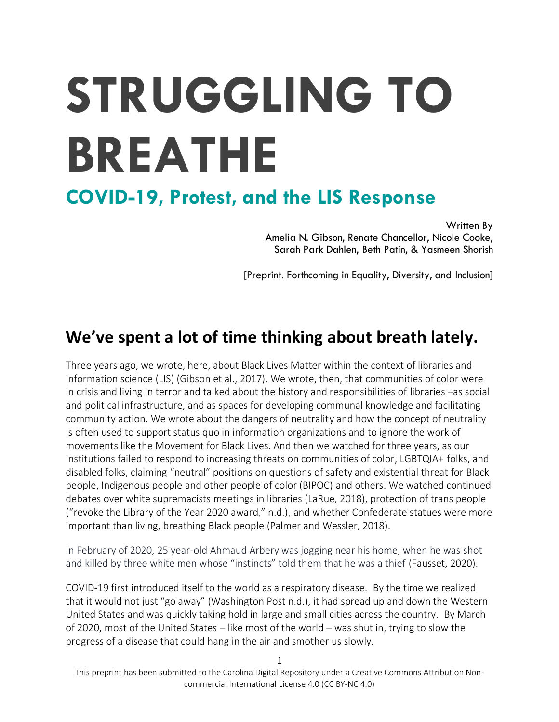# **STRUGGLING TO BREATHE**

## **COVID-19, Protest, and the LIS Response**

Written By Amelia N. Gibson, Renate Chancellor, Nicole Cooke, Sarah Park Dahlen, Beth Patin, & Yasmeen Shorish

[Preprint. Forthcoming in Equality, Diversity, and Inclusion]

### **We've spent a lot of time thinking about breath lately.**

Three years ago, we wrote, here, about Black Lives Matter within the context of libraries and information science (LIS) (Gibson et al., 2017). We wrote, then, that communities of color were in crisis and living in terror and talked about the history and responsibilities of libraries –as social and political infrastructure, and as spaces for developing communal knowledge and facilitating community action. We wrote about the dangers of neutrality and how the concept of neutrality is often used to support status quo in information organizations and to ignore the work of movements like the Movement for Black Lives. And then we watched for three years, as our institutions failed to respond to increasing threats on communities of color, LGBTQIA+ folks, and disabled folks, claiming "neutral" positions on questions of safety and existential threat for Black people, Indigenous people and other people of color (BIPOC) and others. We watched continued debates over white supremacists meetings in libraries (LaRue, 2018), protection of trans people ("revoke the Library of the Year 2020 award," n.d.), and whether Confederate statues were more important than living, breathing Black people (Palmer and Wessler, 2018).

In February of 2020, 25 year-old Ahmaud Arbery was jogging near his home, when he was shot and killed by three white men whose "instincts" told them that he was a thief (Fausset, 2020).

COVID-19 first introduced itself to the world as a respiratory disease. By the time we realized that it would not just "go away" (Washington Post n.d.), it had spread up and down the Western United States and was quickly taking hold in large and small cities across the country. By March of 2020, most of the United States – like most of the world – was shut in, trying to slow the progress of a disease that could hang in the air and smother us slowly.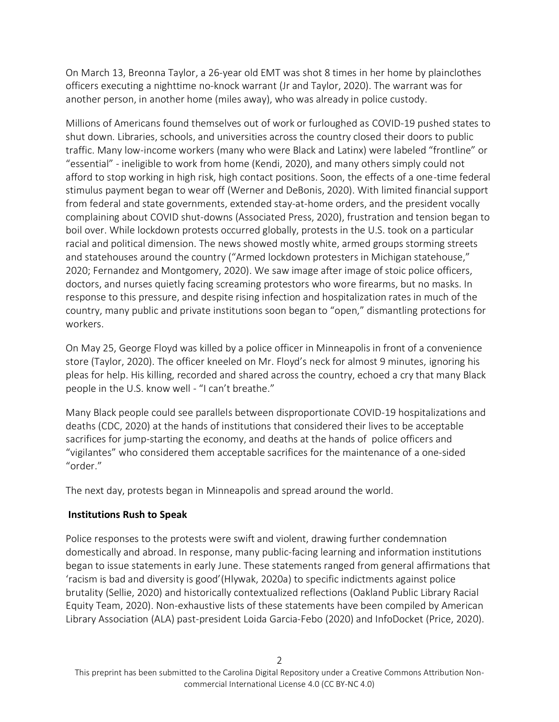On March 13, Breonna Taylor, a 26-year old EMT was shot 8 times in her home by plainclothes officers executing a nighttime no-knock warrant (Jr and Taylor, 2020). The warrant was for another person, in another home (miles away), who was already in police custody.

Millions of Americans found themselves out of work or furloughed as COVID-19 pushed states to shut down. Libraries, schools, and universities across the country closed their doors to public traffic. Many low-income workers (many who were Black and Latinx) were labeled "frontline" or "essential" - ineligible to work from home (Kendi, 2020), and many others simply could not afford to stop working in high risk, high contact positions. Soon, the effects of a one-time federal stimulus payment began to wear off (Werner and DeBonis, 2020). With limited financial support from federal and state governments, extended stay-at-home orders, and the president vocally complaining about COVID shut-downs (Associated Press, 2020), frustration and tension began to boil over. While lockdown protests occurred globally, protests in the U.S. took on a particular racial and political dimension. The news showed mostly white, armed groups storming streets and statehouses around the country ("Armed lockdown protesters in Michigan statehouse," 2020; Fernandez and Montgomery, 2020). We saw image after image of stoic police officers, doctors, and nurses quietly facing screaming protestors who wore firearms, but no masks. In response to this pressure, and despite rising infection and hospitalization rates in much of the country, many public and private institutions soon began to "open," dismantling protections for workers.

On May 25, George Floyd was killed by a police officer in Minneapolis in front of a convenience store (Taylor, 2020). The officer kneeled on Mr. Floyd's neck for almost 9 minutes, ignoring his pleas for help. His killing, recorded and shared across the country, echoed a cry that many Black people in the U.S. know well - "I can't breathe."

Many Black people could see parallels between disproportionate COVID-19 hospitalizations and deaths (CDC, 2020) at the hands of institutions that considered their lives to be acceptable sacrifices for jump-starting the economy, and deaths at the hands of police officers and "vigilantes" who considered them acceptable sacrifices for the maintenance of a one-sided "order."

The next day, protests began in Minneapolis and spread around the world.

#### **Institutions Rush to Speak**

Police responses to the protests were swift and violent, drawing further condemnation domestically and abroad. In response, many public-facing learning and information institutions began to issue statements in early June. These statements ranged from general affirmations that 'racism is bad and diversity is good'(Hlywak, 2020a) to specific indictments against police brutality (Sellie, 2020) and historically contextualized reflections (Oakland Public Library Racial Equity Team, 2020). Non-exhaustive lists of these statements have been compiled by American Library Association (ALA) past-president Loida Garcia-Febo (2020) and InfoDocket (Price, 2020).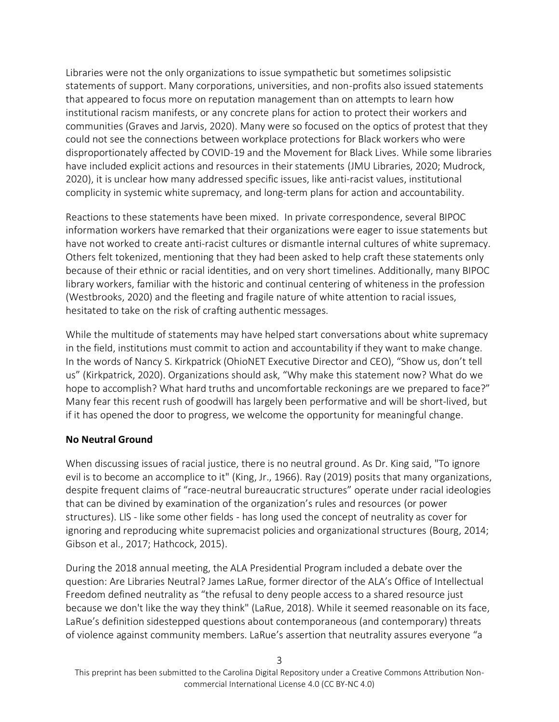Libraries were not the only organizations to issue sympathetic but sometimes solipsistic statements of support. Many corporations, universities, and non-profits also issued statements that appeared to focus more on reputation management than on attempts to learn how institutional racism manifests, or any concrete plans for action to protect their workers and communities (Graves and Jarvis, 2020). Many were so focused on the optics of protest that they could not see the connections between workplace protections for Black workers who were disproportionately affected by COVID-19 and the Movement for Black Lives. While some libraries have included explicit actions and resources in their statements (JMU Libraries, 2020; Mudrock, 2020), it is unclear how many addressed specific issues, like anti-racist values, institutional complicity in systemic white supremacy, and long-term plans for action and accountability.

Reactions to these statements have been mixed. In private correspondence, several BIPOC information workers have remarked that their organizations were eager to issue statements but have not worked to create anti-racist cultures or dismantle internal cultures of white supremacy. Others felt tokenized, mentioning that they had been asked to help craft these statements only because of their ethnic or racial identities, and on very short timelines. Additionally, many BIPOC library workers, familiar with the historic and continual centering of whiteness in the profession (Westbrooks, 2020) and the fleeting and fragile nature of white attention to racial issues, hesitated to take on the risk of crafting authentic messages.

While the multitude of statements may have helped start conversations about white supremacy in the field, institutions must commit to action and accountability if they want to make change. In the words of Nancy S. Kirkpatrick (OhioNET Executive Director and CEO), "Show us, don't tell us" (Kirkpatrick, 2020). Organizations should ask, "Why make this statement now? What do we hope to accomplish? What hard truths and uncomfortable reckonings are we prepared to face?" Many fear this recent rush of goodwill has largely been performative and will be short-lived, but if it has opened the door to progress, we welcome the opportunity for meaningful change.

#### **No Neutral Ground**

When discussing issues of racial justice, there is no neutral ground. As Dr. King said, "To ignore evil is to become an accomplice to it" (King, Jr., 1966). Ray (2019) posits that many organizations, despite frequent claims of "race-neutral bureaucratic structures" operate under racial ideologies that can be divined by examination of the organization's rules and resources (or power structures). LIS - like some other fields - has long used the concept of neutrality as cover for ignoring and reproducing white supremacist policies and organizational structures (Bourg, 2014; Gibson et al., 2017; Hathcock, 2015).

During the 2018 annual meeting, the ALA Presidential Program included a debate over the question: Are Libraries Neutral? James LaRue, former director of the ALA's Office of Intellectual Freedom defined neutrality as "the refusal to deny people access to a shared resource just because we don't like the way they think" (LaRue, 2018). While it seemed reasonable on its face, LaRue's definition sidestepped questions about contemporaneous (and contemporary) threats of violence against community members. LaRue's assertion that neutrality assures everyone "a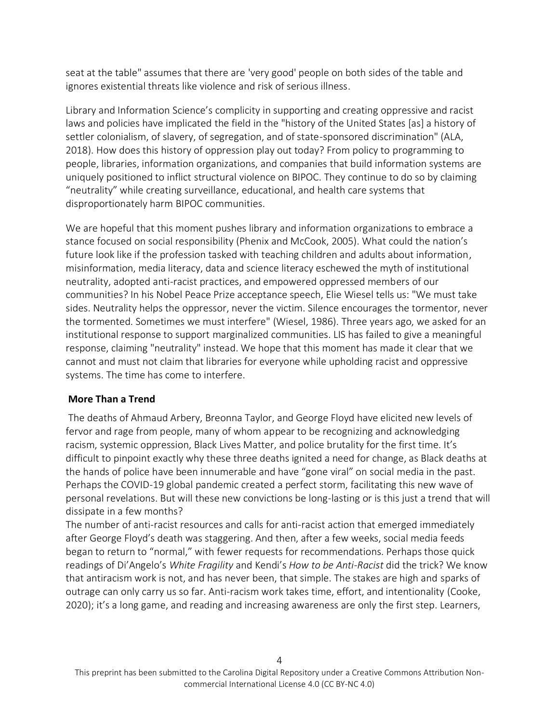seat at the table" assumes that there are 'very good' people on both sides of the table and ignores existential threats like violence and risk of serious illness.

Library and Information Science's complicity in supporting and creating oppressive and racist laws and policies have implicated the field in the "history of the United States [as] a history of settler colonialism, of slavery, of segregation, and of state-sponsored discrimination" (ALA, 2018). How does this history of oppression play out today? From policy to programming to people, libraries, information organizations, and companies that build information systems are uniquely positioned to inflict structural violence on BIPOC. They continue to do so by claiming "neutrality" while creating surveillance, educational, and health care systems that disproportionately harm BIPOC communities.

We are hopeful that this moment pushes library and information organizations to embrace a stance focused on social responsibility (Phenix and McCook, 2005). What could the nation's future look like if the profession tasked with teaching children and adults about information, misinformation, media literacy, data and science literacy eschewed the myth of institutional neutrality, adopted anti-racist practices, and empowered oppressed members of our communities? In his Nobel Peace Prize acceptance speech, Elie Wiesel tells us: "We must take sides. Neutrality helps the oppressor, never the victim. Silence encourages the tormentor, never the tormented. Sometimes we must interfere" (Wiesel, 1986). Three years ago, we asked for an institutional response to support marginalized communities. LIS has failed to give a meaningful response, claiming "neutrality" instead. We hope that this moment has made it clear that we cannot and must not claim that libraries for everyone while upholding racist and oppressive systems. The time has come to interfere.

#### **More Than a Trend**

The deaths of Ahmaud Arbery, Breonna Taylor, and George Floyd have elicited new levels of fervor and rage from people, many of whom appear to be recognizing and acknowledging racism, systemic oppression, Black Lives Matter, and police brutality for the first time. It's difficult to pinpoint exactly why these three deaths ignited a need for change, as Black deaths at the hands of police have been innumerable and have "gone viral" on social media in the past. Perhaps the COVID-19 global pandemic created a perfect storm, facilitating this new wave of personal revelations. But will these new convictions be long-lasting or is this just a trend that will dissipate in a few months?

The number of anti-racist resources and calls for anti-racist action that emerged immediately after George Floyd's death was staggering. And then, after a few weeks, social media feeds began to return to "normal," with fewer requests for recommendations. Perhaps those quick readings of Di'Angelo's *White Fragility* and Kendi's *How to be Anti-Racist* did the trick? We know that antiracism work is not, and has never been, that simple. The stakes are high and sparks of outrage can only carry us so far. Anti-racism work takes time, effort, and intentionality (Cooke, 2020); it's a long game, and reading and increasing awareness are only the first step. Learners,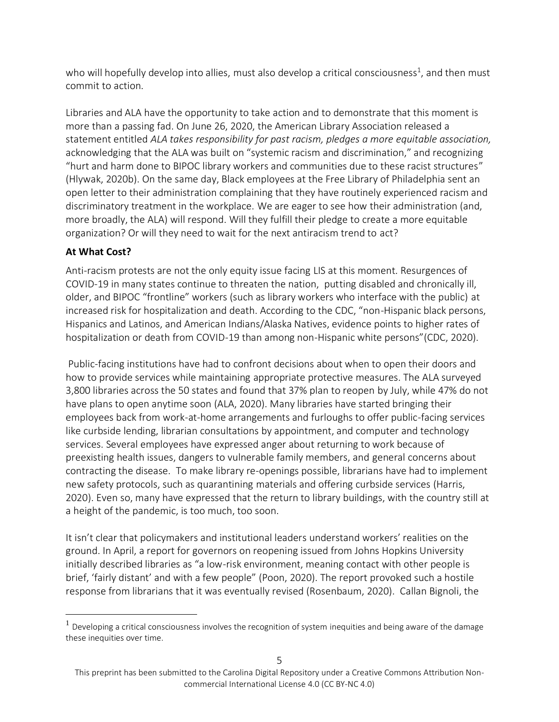who will hopefully develop into allies, must also develop a critical consciousness<sup>1</sup>, and then must commit to action.

Libraries and ALA have the opportunity to take action and to demonstrate that this moment is more than a passing fad. On June 26, 2020, the American Library Association released a statement entitled *ALA takes responsibility for past racism, pledges a more equitable association,*  acknowledging that the ALA was built on "systemic racism and discrimination," and recognizing "hurt and harm done to BIPOC library workers and communities due to these racist structures" (Hlywak, 2020b). On the same day, Black employees at the Free Library of Philadelphia sent an open letter to their administration complaining that they have routinely experienced racism and discriminatory treatment in the workplace. We are eager to see how their administration (and, more broadly, the ALA) will respond. Will they fulfill their pledge to create a more equitable organization? Or will they need to wait for the next antiracism trend to act?

#### **At What Cost?**

Anti-racism protests are not the only equity issue facing LIS at this moment. Resurgences of COVID-19 in many states continue to threaten the nation, putting disabled and chronically ill, older, and BIPOC "frontline" workers (such as library workers who interface with the public) at increased risk for hospitalization and death. According to the CDC, "non-Hispanic black persons, Hispanics and Latinos, and American Indians/Alaska Natives, evidence points to higher rates of hospitalization or death from COVID-19 than among non-Hispanic white persons"(CDC, 2020).

Public-facing institutions have had to confront decisions about when to open their doors and how to provide services while maintaining appropriate protective measures. The ALA surveyed 3,800 libraries across the 50 states and found that 37% plan to reopen by July, while 47% do not have plans to open anytime soon (ALA, 2020). Many libraries have started bringing their employees back from work-at-home arrangements and furloughs to offer public-facing services like curbside lending, librarian consultations by appointment, and computer and technology services. Several employees have expressed anger about returning to work because of preexisting health issues, dangers to vulnerable family members, and general concerns about contracting the disease. To make library re-openings possible, librarians have had to implement new safety protocols, such as quarantining materials and offering curbside services (Harris, 2020). Even so, many have expressed that the return to library buildings, with the country still at a height of the pandemic, is too much, too soon.

It isn't clear that policymakers and institutional leaders understand workers' realities on the ground. In April, a report for governors on reopening issued from Johns Hopkins University initially described libraries as "a low-risk environment, meaning contact with other people is brief, 'fairly distant' and with a few people" (Poon, 2020). The report provoked such a hostile response from librarians that it was eventually revised (Rosenbaum, 2020). Callan Bignoli, the

 $<sup>1</sup>$  Developing a critical consciousness involves the recognition of system inequities and being aware of the damage</sup> these inequities over time.

This preprint has been submitted to the Carolina Digital Repository under a Creative Commons Attribution Noncommercial International License 4.0 (CC BY-NC 4.0)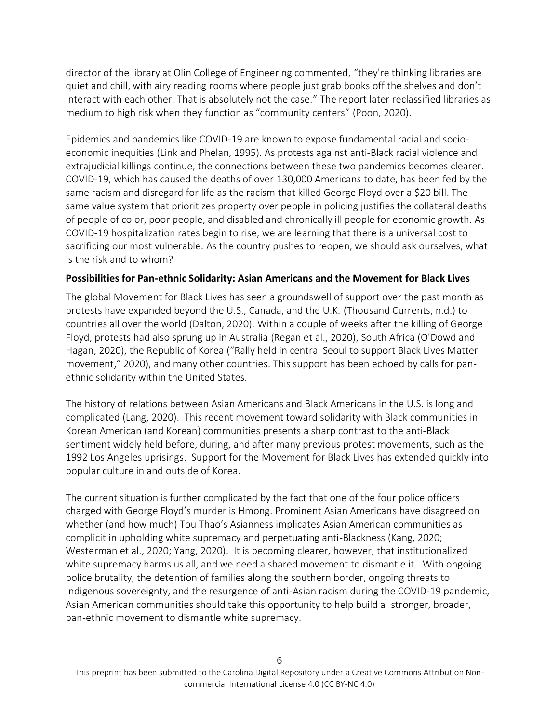director of the library at Olin College of Engineering commented, "they're thinking libraries are quiet and chill, with airy reading rooms where people just grab books off the shelves and don't interact with each other. That is absolutely not the case." The report later reclassified libraries as medium to high risk when they function as "community centers" (Poon, 2020).

Epidemics and pandemics like COVID-19 are known to expose fundamental racial and socioeconomic inequities (Link and Phelan, 1995). As protests against anti-Black racial violence and extrajudicial killings continue, the connections between these two pandemics becomes clearer. COVID-19, which has caused the deaths of over 130,000 Americans to date, has been fed by the same racism and disregard for life as the racism that killed George Floyd over a \$20 bill. The same value system that prioritizes property over people in policing justifies the collateral deaths of people of color, poor people, and disabled and chronically ill people for economic growth. As COVID-19 hospitalization rates begin to rise, we are learning that there is a universal cost to sacrificing our most vulnerable. As the country pushes to reopen, we should ask ourselves, what is the risk and to whom?

#### **Possibilities for Pan-ethnic Solidarity: Asian Americans and the Movement for Black Lives**

The global Movement for Black Lives has seen a groundswell of support over the past month as protests have expanded beyond the U.S., Canada, and the U.K. (Thousand Currents, n.d.) to countries all over the world (Dalton, 2020). Within a couple of weeks after the killing of George Floyd, protests had also sprung up in Australia (Regan et al., 2020), South Africa (O'Dowd and Hagan, 2020), the Republic of Korea ("Rally held in central Seoul to support Black Lives Matter movement," 2020), and many other countries. This support has been echoed by calls for panethnic solidarity within the United States.

The history of relations between Asian Americans and Black Americans in the U.S. is long and complicated (Lang, 2020). This recent movement toward solidarity with Black communities in Korean American (and Korean) communities presents a sharp contrast to the anti-Black sentiment widely held before, during, and after many previous protest movements, such as the 1992 Los Angeles uprisings. Support for the Movement for Black Lives has extended quickly into popular culture in and outside of Korea.

The current situation is further complicated by the fact that one of the four police officers charged with George Floyd's murder is Hmong. Prominent Asian Americans have disagreed on whether (and how much) Tou Thao's Asianness implicates Asian American communities as complicit in upholding white supremacy and perpetuating anti-Blackness (Kang, 2020; Westerman et al., 2020; Yang, 2020). It is becoming clearer, however, that institutionalized white supremacy harms us all, and we need a shared movement to dismantle it. With ongoing police brutality, the detention of families along the southern border, ongoing threats to Indigenous sovereignty, and the resurgence of anti-Asian racism during the COVID-19 pandemic, Asian American communities should take this opportunity to help build a stronger, broader, pan-ethnic movement to dismantle white supremacy.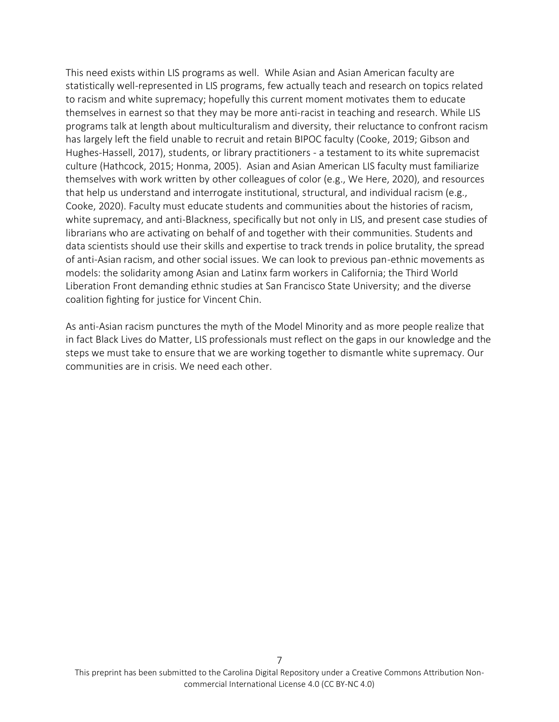This need exists within LIS programs as well. While Asian and Asian American faculty are statistically well-represented in LIS programs, few actually teach and research on topics related to racism and white supremacy; hopefully this current moment motivates them to educate themselves in earnest so that they may be more anti-racist in teaching and research. While LIS programs talk at length about multiculturalism and diversity, their reluctance to confront racism has largely left the field unable to recruit and retain BIPOC faculty (Cooke, 2019; Gibson and Hughes-Hassell, 2017), students, or library practitioners - a testament to its white supremacist culture (Hathcock, 2015; Honma, 2005). Asian and Asian American LIS faculty must familiarize themselves with work written by other colleagues of color (e.g., We Here, 2020), and resources that help us understand and interrogate institutional, structural, and individual racism (e.g., Cooke, 2020). Faculty must educate students and communities about the histories of racism, white supremacy, and anti-Blackness, specifically but not only in LIS, and present case studies of librarians who are activating on behalf of and together with their communities. Students and data scientists should use their skills and expertise to track trends in police brutality, the spread of anti-Asian racism, and other social issues. We can look to previous pan-ethnic movements as models: the solidarity among Asian and Latinx farm workers in California; the Third World Liberation Front demanding ethnic studies at San Francisco State University; and the diverse coalition fighting for justice for Vincent Chin.

As anti-Asian racism punctures the myth of the Model Minority and as more people realize that in fact Black Lives do Matter, LIS professionals must reflect on the gaps in our knowledge and the steps we must take to ensure that we are working together to dismantle white supremacy. Our communities are in crisis. We need each other.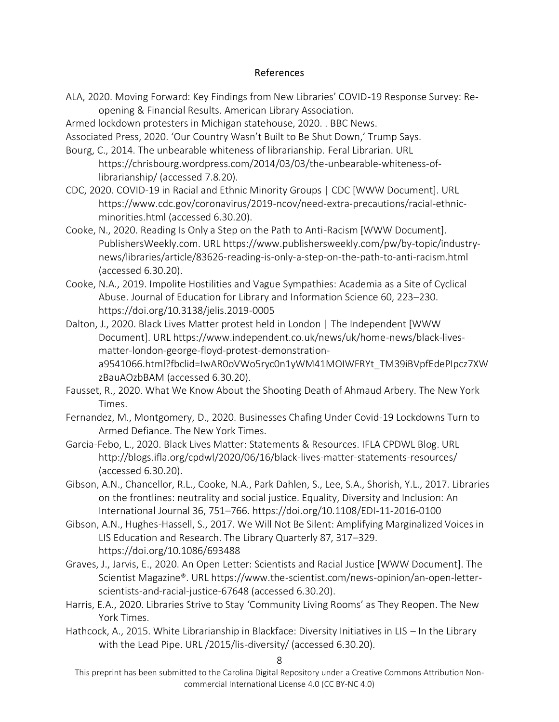#### References

ALA, 2020. Moving Forward: Key Findings from New Libraries' COVID-19 Response Survey: Reopening & Financial Results. American Library Association.

Armed lockdown protesters in Michigan statehouse, 2020. . BBC News.

Associated Press, 2020. 'Our Country Wasn't Built to Be Shut Down,' Trump Says.

- Bourg, C., 2014. The unbearable whiteness of librarianship. Feral Librarian. URL https://chrisbourg.wordpress.com/2014/03/03/the-unbearable-whiteness-oflibrarianship/ (accessed 7.8.20).
- CDC, 2020. COVID-19 in Racial and Ethnic Minority Groups | CDC [WWW Document]. URL https://www.cdc.gov/coronavirus/2019-ncov/need-extra-precautions/racial-ethnicminorities.html (accessed 6.30.20).
- Cooke, N., 2020. Reading Is Only a Step on the Path to Anti-Racism [WWW Document]. PublishersWeekly.com. URL https://www.publishersweekly.com/pw/by-topic/industrynews/libraries/article/83626-reading-is-only-a-step-on-the-path-to-anti-racism.html (accessed 6.30.20).
- Cooke, N.A., 2019. Impolite Hostilities and Vague Sympathies: Academia as a Site of Cyclical Abuse. Journal of Education for Library and Information Science 60, 223–230. https://doi.org/10.3138/jelis.2019-0005
- Dalton, J., 2020. Black Lives Matter protest held in London | The Independent [WWW Document]. URL https://www.independent.co.uk/news/uk/home-news/black-livesmatter-london-george-floyd-protest-demonstrationa9541066.html?fbclid=IwAR0oVWo5ryc0n1yWM41MOIWFRYt\_TM39iBVpfEdePIpcz7XW zBauAOzbBAM (accessed 6.30.20).
- Fausset, R., 2020. What We Know About the Shooting Death of Ahmaud Arbery. The New York Times.
- Fernandez, M., Montgomery, D., 2020. Businesses Chafing Under Covid-19 Lockdowns Turn to Armed Defiance. The New York Times.
- Garcia-Febo, L., 2020. Black Lives Matter: Statements & Resources. IFLA CPDWL Blog. URL http://blogs.ifla.org/cpdwl/2020/06/16/black-lives-matter-statements-resources/ (accessed 6.30.20).
- Gibson, A.N., Chancellor, R.L., Cooke, N.A., Park Dahlen, S., Lee, S.A., Shorish, Y.L., 2017. Libraries on the frontlines: neutrality and social justice. Equality, Diversity and Inclusion: An International Journal 36, 751–766. https://doi.org/10.1108/EDI-11-2016-0100
- Gibson, A.N., Hughes-Hassell, S., 2017. We Will Not Be Silent: Amplifying Marginalized Voices in LIS Education and Research. The Library Quarterly 87, 317–329. https://doi.org/10.1086/693488
- Graves, J., Jarvis, E., 2020. An Open Letter: Scientists and Racial Justice [WWW Document]. The Scientist Magazine®. URL https://www.the-scientist.com/news-opinion/an-open-letterscientists-and-racial-justice-67648 (accessed 6.30.20).
- Harris, E.A., 2020. Libraries Strive to Stay 'Community Living Rooms' as They Reopen. The New York Times.
- Hathcock, A., 2015. White Librarianship in Blackface: Diversity Initiatives in LIS In the Library with the Lead Pipe. URL /2015/lis-diversity/ (accessed 6.30.20).

This preprint has been submitted to the Carolina Digital Repository under a Creative Commons Attribution Noncommercial International License 4.0 (CC BY-NC 4.0)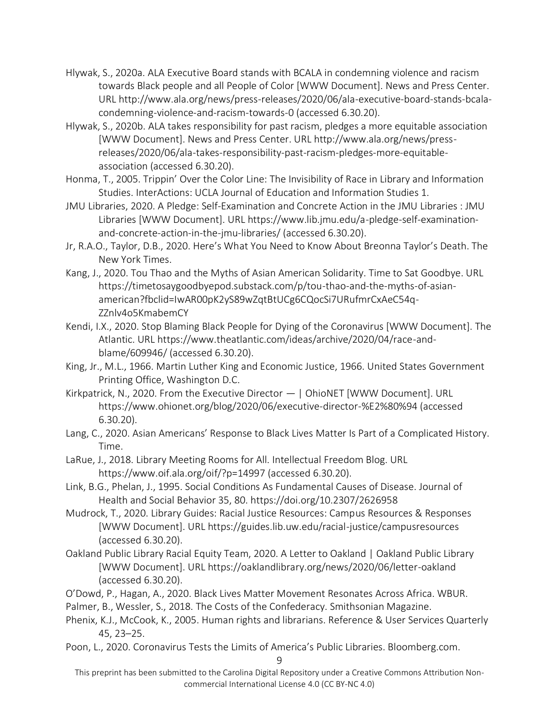- Hlywak, S., 2020a. ALA Executive Board stands with BCALA in condemning violence and racism towards Black people and all People of Color [WWW Document]. News and Press Center. URL http://www.ala.org/news/press-releases/2020/06/ala-executive-board-stands-bcalacondemning-violence-and-racism-towards-0 (accessed 6.30.20).
- Hlywak, S., 2020b. ALA takes responsibility for past racism, pledges a more equitable association [WWW Document]. News and Press Center. URL http://www.ala.org/news/pressreleases/2020/06/ala-takes-responsibility-past-racism-pledges-more-equitableassociation (accessed 6.30.20).
- Honma, T., 2005. Trippin' Over the Color Line: The Invisibility of Race in Library and Information Studies. InterActions: UCLA Journal of Education and Information Studies 1.
- JMU Libraries, 2020. A Pledge: Self-Examination and Concrete Action in the JMU Libraries : JMU Libraries [WWW Document]. URL https://www.lib.jmu.edu/a-pledge-self-examinationand-concrete-action-in-the-jmu-libraries/ (accessed 6.30.20).
- Jr, R.A.O., Taylor, D.B., 2020. Here's What You Need to Know About Breonna Taylor's Death. The New York Times.
- Kang, J., 2020. Tou Thao and the Myths of Asian American Solidarity. Time to Sat Goodbye. URL https://timetosaygoodbyepod.substack.com/p/tou-thao-and-the-myths-of-asianamerican?fbclid=IwAR00pK2yS89wZqtBtUCg6CQocSi7URufmrCxAeC54q-ZZnlv4o5KmabemCY
- Kendi, I.X., 2020. Stop Blaming Black People for Dying of the Coronavirus [WWW Document]. The Atlantic. URL https://www.theatlantic.com/ideas/archive/2020/04/race-andblame/609946/ (accessed 6.30.20).
- King, Jr., M.L., 1966. Martin Luther King and Economic Justice, 1966. United States Government Printing Office, Washington D.C.
- Kirkpatrick, N., 2020. From the Executive Director  $-$  | OhioNET [WWW Document]. URL https://www.ohionet.org/blog/2020/06/executive-director-%E2%80%94 (accessed 6.30.20).
- Lang, C., 2020. Asian Americans' Response to Black Lives Matter Is Part of a Complicated History. Time.
- LaRue, J., 2018. Library Meeting Rooms for All. Intellectual Freedom Blog. URL https://www.oif.ala.org/oif/?p=14997 (accessed 6.30.20).
- Link, B.G., Phelan, J., 1995. Social Conditions As Fundamental Causes of Disease. Journal of Health and Social Behavior 35, 80. https://doi.org/10.2307/2626958
- Mudrock, T., 2020. Library Guides: Racial Justice Resources: Campus Resources & Responses [WWW Document]. URL https://guides.lib.uw.edu/racial-justice/campusresources (accessed 6.30.20).
- Oakland Public Library Racial Equity Team, 2020. A Letter to Oakland | Oakland Public Library [WWW Document]. URL https://oaklandlibrary.org/news/2020/06/letter-oakland (accessed 6.30.20).
- O'Dowd, P., Hagan, A., 2020. Black Lives Matter Movement Resonates Across Africa. WBUR.
- Palmer, B., Wessler, S., 2018. The Costs of the Confederacy. Smithsonian Magazine.
- Phenix, K.J., McCook, K., 2005. Human rights and librarians. Reference & User Services Quarterly 45, 23–25.
- Poon, L., 2020. Coronavirus Tests the Limits of America's Public Libraries. Bloomberg.com.

This preprint has been submitted to the Carolina Digital Repository under a Creative Commons Attribution Noncommercial International License 4.0 (CC BY-NC 4.0)